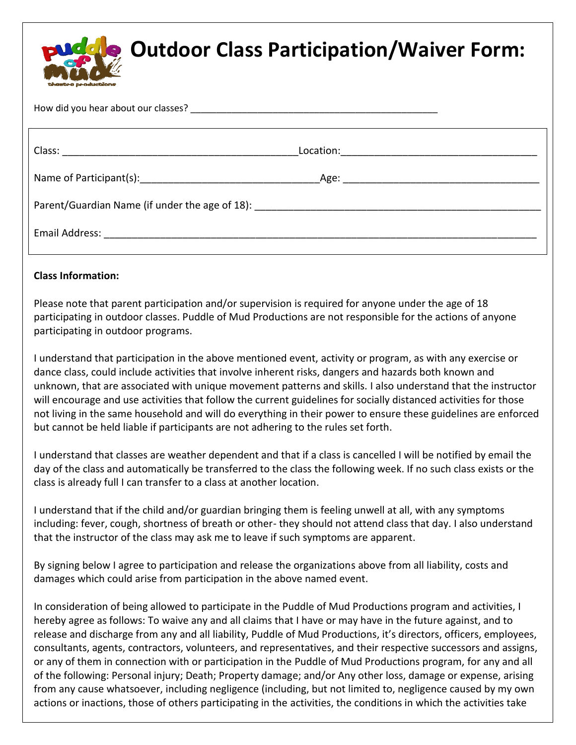

## **Outdoor Class Participation/Waiver Form:**

How did you hear about our classes?

| Email Address: The Contract of Terms and Terms and Terms and Terms and Terms and Terms and Terms and Terms and |  |
|----------------------------------------------------------------------------------------------------------------|--|

## **Class Information:**

Please note that parent participation and/or supervision is required for anyone under the age of 18 participating in outdoor classes. Puddle of Mud Productions are not responsible for the actions of anyone participating in outdoor programs.

I understand that participation in the above mentioned event, activity or program, as with any exercise or dance class, could include activities that involve inherent risks, dangers and hazards both known and unknown, that are associated with unique movement patterns and skills. I also understand that the instructor will encourage and use activities that follow the current guidelines for socially distanced activities for those not living in the same household and will do everything in their power to ensure these guidelines are enforced but cannot be held liable if participants are not adhering to the rules set forth.

I understand that classes are weather dependent and that if a class is cancelled I will be notified by email the day of the class and automatically be transferred to the class the following week. If no such class exists or the class is already full I can transfer to a class at another location.

I understand that if the child and/or guardian bringing them is feeling unwell at all, with any symptoms including: fever, cough, shortness of breath or other- they should not attend class that day. I also understand that the instructor of the class may ask me to leave if such symptoms are apparent.

By signing below I agree to participation and release the organizations above from all liability, costs and damages which could arise from participation in the above named event.

In consideration of being allowed to participate in the Puddle of Mud Productions program and activities, I hereby agree as follows: To waive any and all claims that I have or may have in the future against, and to release and discharge from any and all liability, Puddle of Mud Productions, it's directors, officers, employees, consultants, agents, contractors, volunteers, and representatives, and their respective successors and assigns, or any of them in connection with or participation in the Puddle of Mud Productions program, for any and all of the following: Personal injury; Death; Property damage; and/or Any other loss, damage or expense, arising from any cause whatsoever, including negligence (including, but not limited to, negligence caused by my own actions or inactions, those of others participating in the activities, the conditions in which the activities take